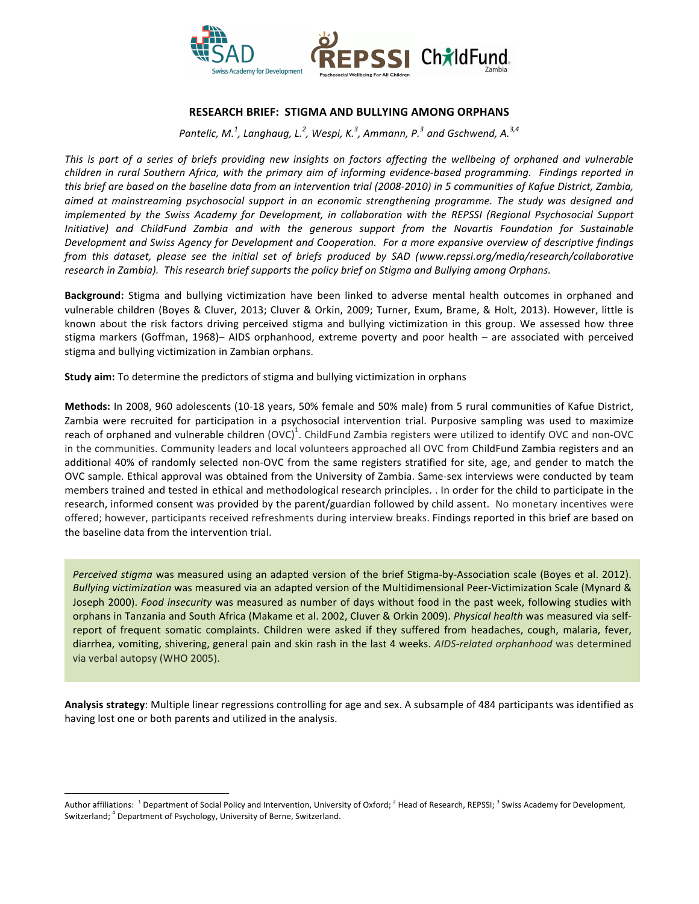

## **RESEARCH BRIEF: STIGMA AND BULLYING AMONG ORPHANS**

Pantelic, M.<sup>1</sup>, Langhaug, L.<sup>2</sup>, Wespi, K.<sup>3</sup>, Ammann, P.<sup>3</sup> and Gschwend, A.<sup>3,4</sup>

This is part of a series of briefs providing new insights on factors affecting the wellbeing of orphaned and vulnerable *children in rural Southern Africa, with the primary aim of informing evidence-based programming. Findings reported in* this brief are based on the baseline data from an intervention trial (2008-2010) in 5 communities of Kafue District, Zambia, aimed at mainstreaming psychosocial support in an economic strengthening programme. The study was designed and *implemented* by the Swiss Academy for Development, in collaboration with the REPSSI (Regional Psychosocial Support *Initiative*) and ChildFund Zambia and with the generous support from the Novartis Foundation for Sustainable Development and Swiss Agency for Development and Cooperation. For a more expansive overview of descriptive findings *from* this dataset, please see the initial set of briefs produced by SAD (www.repssi.org/media/research/collaborative research in Zambia). This research brief supports the policy brief on Stigma and Bullying among Orphans.

Background: Stigma and bullying victimization have been linked to adverse mental health outcomes in orphaned and vulnerable children (Boyes & Cluver, 2013; Cluver & Orkin, 2009; Turner, Exum, Brame, & Holt, 2013). However, little is known about the risk factors driving perceived stigma and bullying victimization in this group. We assessed how three stigma markers (Goffman, 1968)– AIDS orphanhood, extreme poverty and poor health – are associated with perceived stigma and bullying victimization in Zambian orphans.

**Study aim:** To determine the predictors of stigma and bullying victimization in orphans

Methods: In 2008, 960 adolescents (10-18 years, 50% female and 50% male) from 5 rural communities of Kafue District, Zambia were recruited for participation in a psychosocial intervention trial. Purposive sampling was used to maximize reach of orphaned and vulnerable children (OVC)<sup>1</sup>. ChildFund Zambia registers were utilized to identify OVC and non-OVC in the communities. Community leaders and local volunteers approached all OVC from ChildFund Zambia registers and an additional 40% of randomly selected non-OVC from the same registers stratified for site, age, and gender to match the OVC sample. Ethical approval was obtained from the University of Zambia. Same-sex interviews were conducted by team members trained and tested in ethical and methodological research principles. . In order for the child to participate in the research, informed consent was provided by the parent/guardian followed by child assent. No monetary incentives were offered; however, participants received refreshments during interview breaks. Findings reported in this brief are based on the baseline data from the intervention trial.

orphans in Tanzania and South Africa (Makame et al. 2002, Cluver & Orkin 2009). *Physical health* was measured via self-*Perceived* stigma was measured using an adapted version of the brief Stigma-by-Association scale (Boyes et al. 2012). *Bullying victimization* was measured via an adapted version of the Multidimensional Peer-Victimization Scale (Mynard & Joseph 2000). *Food insecurity* was measured as number of days without food in the past week, following studies with report of frequent somatic complaints. Children were asked if they suffered from headaches, cough, malaria, fever, diarrhea, vomiting, shivering, general pain and skin rash in the last 4 weeks. *AIDS-related orphanhood* was determined via verbal autopsy (WHO 2005).

Analysis strategy: Multiple linear regressions controlling for age and sex. A subsample of 484 participants was identified as having lost one or both parents and utilized in the analysis.

 

Author affiliations: <sup>1</sup> Department of Social Policy and Intervention, University of Oxford; <sup>2</sup> Head of Research, REPSSI; <sup>3</sup> Swiss Academy for Development, Switzerland; <sup>4</sup> Department of Psychology, University of Berne, Switzerland.